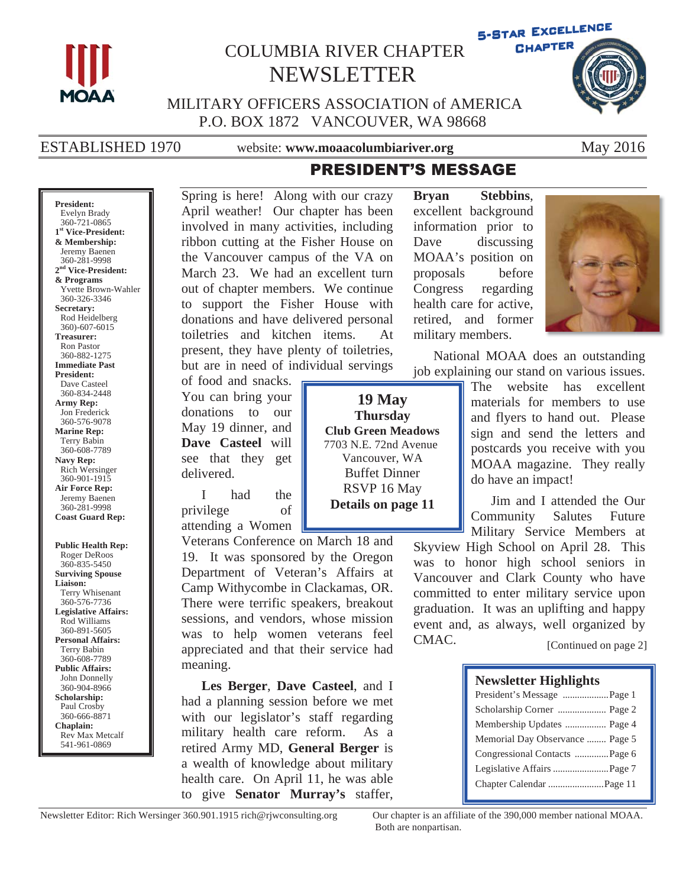

## COLUMBIA RIVER CHAPTER NEWSLETTER



 MILITARY OFFICERS ASSOCIATION of AMERICA P.O. BOX 1872 VANCOUVER, WA 98668

ESTABLISHED 1970 website: **www.moaacolumbiariver.org** May 2016

## **PRESIDENT'S MESSAGE**

**President:** Evelyn Brady 360-721-0865 **1st Vice-President: & Membership:** Jeremy Baenen 360-281-9998 **2nd Vice-President: & Programs**  Yvette Brown-Wahler 360-326-3346 **Secretary:** Rod Heidelberg 360)-607-6015 **Treasurer:**  Ron Pastor 360-882-1275 **Immediate Past President:** Dave Casteel 360-834-2448 **Army Rep:** Jon Frederick 360-576-9078 **Marine Rep:** Terry Babin 360-608-7789 **Navy Rep:** Rich Wersinger 360-901-1915 **Air Force Rep:** Jeremy Baenen 360-281-9998 **Coast Guard Rep: Public Health Rep:** Roger DeRoos 360-835-5450 **Surviving Spouse Liaison:** Terry Whisenant 360-576-7736 **Legislative Affairs:** Rod Williams 360-891-5605

**Personal Affairs:** Terry Babin 360-608-7789 **Public Affairs:** John Donnelly 360-904-8966 **Scholarship:** Paul Crosby 360-666-8871 **Chaplain:** Rev Max Metcalf 541-961-0869

Spring is here! Along with our crazy April weather! Our chapter has been involved in many activities, including ribbon cutting at the Fisher House on the Vancouver campus of the VA on March 23. We had an excellent turn out of chapter members. We continue to support the Fisher House with donations and have delivered personal toiletries and kitchen items. At present, they have plenty of toiletries, but are in need of individual servings

of food and snacks. You can bring your donations to our May 19 dinner, and **Dave Casteel** will see that they get delivered.

I had the privilege of attending a Women

Veterans Conference on March 18 and 19. It was sponsored by the Oregon Department of Veteran's Affairs at Camp Withycombe in Clackamas, OR. There were terrific speakers, breakout sessions, and vendors, whose mission was to help women veterans feel appreciated and that their service had meaning.

**Les Berger**, **Dave Casteel**, and I had a planning session before we met with our legislator's staff regarding military health care reform. As a retired Army MD, **General Berger** is a wealth of knowledge about military health care. On April 11, he was able to give **Senator Murray's** staffer,

MOAA's position on proposals before Congress regarding health care for active, retired, and former military members.

**Bryan Stebbins**, excellent background information prior to Dave discussing



National MOAA does an outstanding job explaining our stand on various issues.

> The website has excellent materials for members to use and flyers to hand out. Please sign and send the letters and postcards you receive with you MOAA magazine. They really do have an impact!

> Jim and I attended the Our Community Salutes Future Military Service Members at

Skyview High School on April 28. This was to honor high school seniors in Vancouver and Clark County who have committed to enter military service upon graduation. It was an uplifting and happy event and, as always, well organized by CMAC.

[Continued on page 2]

### **Newsletter Highlights**

| President's Message  Page 1     |
|---------------------------------|
|                                 |
| Membership Updates  Page 4      |
| Memorial Day Observance  Page 5 |
| Congressional Contacts  Page 6  |
|                                 |
|                                 |
|                                 |

Newsletter Editor: Rich Wersinger 360.901.1915 rich@rjwconsulting.org Our chapter is an affiliate of the 390,000 member national MOAA.

Both are nonpartisan.

**19 May Thursday Club Green Meadows**  7703 N.E. 72nd Avenue Vancouver, WA Buffet Dinner RSVP 16 May **Details on page 11**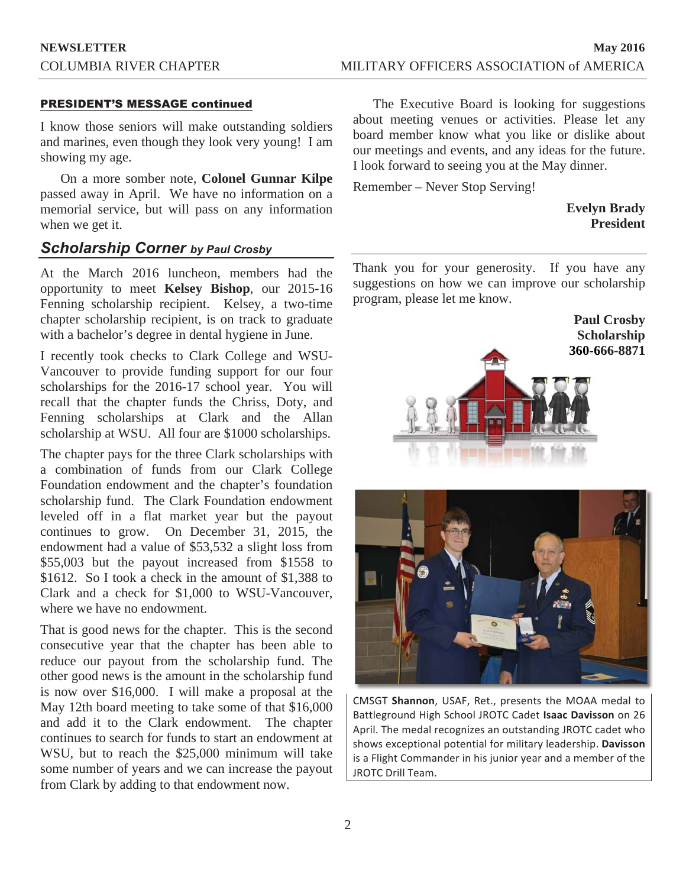### PRESIDENT'S MESSAGE continued

I know those seniors will make outstanding soldiers and marines, even though they look very young! I am showing my age.

On a more somber note, **Colonel Gunnar Kilpe** passed away in April. We have no information on a memorial service, but will pass on any information when we get it.

## *Scholarship Corner by Paul Crosby*

At the March 2016 luncheon, members had the opportunity to meet **Kelsey Bishop**, our 2015-16 Fenning scholarship recipient. Kelsey, a two-time chapter scholarship recipient, is on track to graduate with a bachelor's degree in dental hygiene in June.

I recently took checks to Clark College and WSU-Vancouver to provide funding support for our four scholarships for the 2016-17 school year. You will recall that the chapter funds the Chriss, Doty, and Fenning scholarships at Clark and the Allan scholarship at WSU. All four are \$1000 scholarships.

The chapter pays for the three Clark scholarships with a combination of funds from our Clark College Foundation endowment and the chapter's foundation scholarship fund. The Clark Foundation endowment leveled off in a flat market year but the payout continues to grow. On December 31, 2015, the endowment had a value of \$53,532 a slight loss from \$55,003 but the payout increased from \$1558 to \$1612. So I took a check in the amount of \$1,388 to Clark and a check for \$1,000 to WSU-Vancouver, where we have no endowment.

That is good news for the chapter. This is the second consecutive year that the chapter has been able to reduce our payout from the scholarship fund. The other good news is the amount in the scholarship fund is now over \$16,000. I will make a proposal at the May 12th board meeting to take some of that \$16,000 and add it to the Clark endowment. The chapter continues to search for funds to start an endowment at WSU, but to reach the \$25,000 minimum will take some number of years and we can increase the payout from Clark by adding to that endowment now.

The Executive Board is looking for suggestions about meeting venues or activities. Please let any board member know what you like or dislike about our meetings and events, and any ideas for the future. I look forward to seeing you at the May dinner.

Remember – Never Stop Serving!

**Evelyn Brady President**

Thank you for your generosity. If you have any suggestions on how we can improve our scholarship program, please let me know.





CMSGT Shannon, USAF, Ret., presents the MOAA medal to Battleground High School JROTC Cadet Isaac Davisson on 26 April. The medal recognizes an outstanding JROTC cadet who shows exceptional potential for military leadership. Davisson is a Flight Commander in his junior year and a member of the JROTC Drill Team.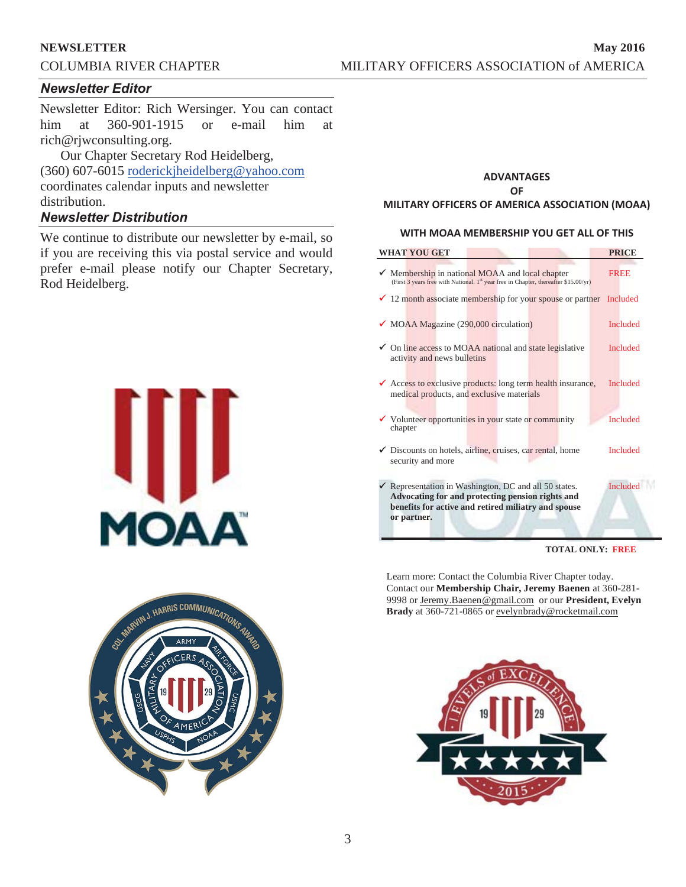## **Newsletter Editor**

Newsletter Editor: Rich Wersinger. You can contact him at 360-901-1915 or e-mail him at rich@rjwconsulting.org.

Our Chapter Secretary Rod Heidelberg, (360) 607-6015 roderickjheidelberg@yahoo.com coordinates calendar inputs and newsletter distribution.

## **Newsletter Distribution**

We continue to distribute our newsletter by e-mail, so if you are receiving this via postal service and would prefer e-mail please notify our Chapter Secretary, Rod Heidelberg.





### **ADVANTAGES** OF **MILITARY OFFICERS OF AMERICA ASSOCIATION (MOAA)**

### WITH MOAA MEMBERSHIP YOU GET ALL OF THIS

| <b>WHAT YOU GET</b>                                                                                                                                                                        |  | <b>PRICE</b>    |
|--------------------------------------------------------------------------------------------------------------------------------------------------------------------------------------------|--|-----------------|
| Membership in national MOAA and local chapter<br>(First 3 years free with National. 1st year free in Chapter, thereafter \$15.00/yr)                                                       |  | <b>FREE</b>     |
| $\checkmark$ 12 month associate membership for your spouse or partner                                                                                                                      |  | Included        |
| $\checkmark$ MOAA Magazine (290,000 circulation)                                                                                                                                           |  | <b>Included</b> |
| ◆ On line access to MOAA national and state legislative<br>activity and news bulletins                                                                                                     |  | <b>Included</b> |
| <del></del> Access to exclusive products: long term health insurance,<br>medical products, and exclusive materials                                                                         |  | Included        |
| $\checkmark$ Volunteer opportunities in your state or community<br>chapter                                                                                                                 |  | <b>Included</b> |
| Discounts on hotels, airline, cruises, car rental, home<br>security and more                                                                                                               |  | <b>Included</b> |
| $\checkmark$ Representation in Washington, DC and all 50 states.<br>Advocating for and protecting pension rights and<br>benefits for active and retired miliatry and spouse<br>or partner. |  | <b>Included</b> |

**TOTAL ONLY: FREE**

Learn more: Contact the Columbia River Chapter today. Contact our **Membership Chair, Jeremy Baenen** at 360-281- 9998 or Jeremy.Baenen@gmail.com or our **President, Evelyn Brady** at 360-721-0865 or evelynbrady@rocketmail.com

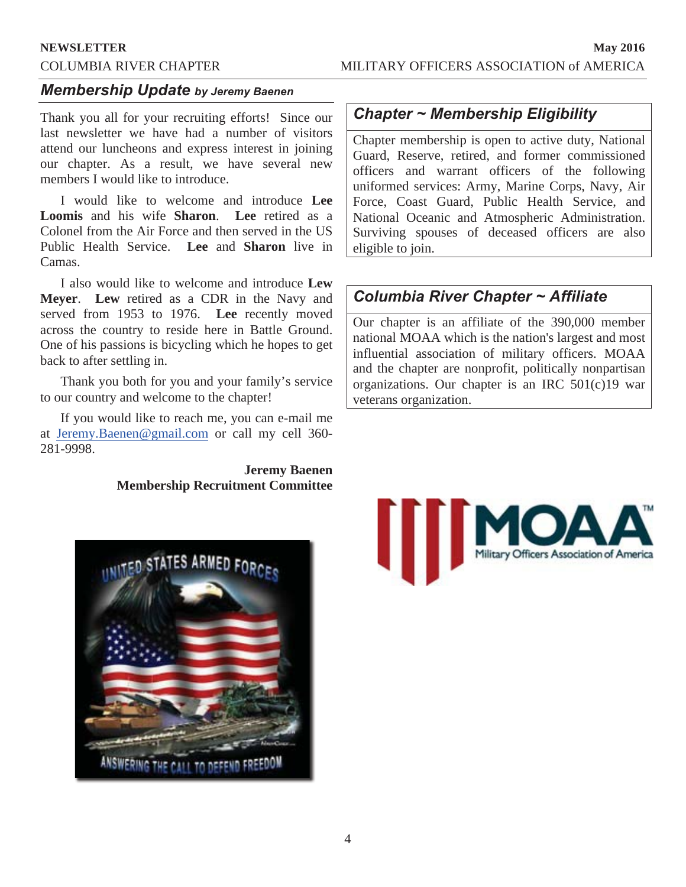## **Membership Update by Jeremy Baenen**

Thank you all for your recruiting efforts! Since our last newsletter we have had a number of visitors attend our luncheons and express interest in joining our chapter. As a result, we have several new members I would like to introduce.

I would like to welcome and introduce **Lee Loomis** and his wife **Sharon**. **Lee** retired as a Colonel from the Air Force and then served in the US Public Health Service. **Lee** and **Sharon** live in Camas.

I also would like to welcome and introduce **Lew Meyer**. **Lew** retired as a CDR in the Navy and served from 1953 to 1976. **Lee** recently moved across the country to reside here in Battle Ground. One of his passions is bicycling which he hopes to get back to after settling in.

Thank you both for you and your family's service to our country and welcome to the chapter!

If you would like to reach me, you can e-mail me at Jeremy.Baenen@gmail.com or call my cell 360- 281-9998.

## **Jeremy Baenen Membership Recruitment Committee**

## **Chapter ~ Membership Eligibility**

Chapter membership is open to active duty, National Guard, Reserve, retired, and former commissioned officers and warrant officers of the following uniformed services: Army, Marine Corps, Navy, Air Force, Coast Guard, Public Health Service, and National Oceanic and Atmospheric Administration. Surviving spouses of deceased officers are also eligible to join.

## **Columbia River Chapter ~ Affiliate**

Our chapter is an affiliate of the 390,000 member national MOAA which is the nation's largest and most influential association of military officers. MOAA and the chapter are nonprofit, politically nonpartisan organizations. Our chapter is an IRC 501(c)19 war veterans organization.



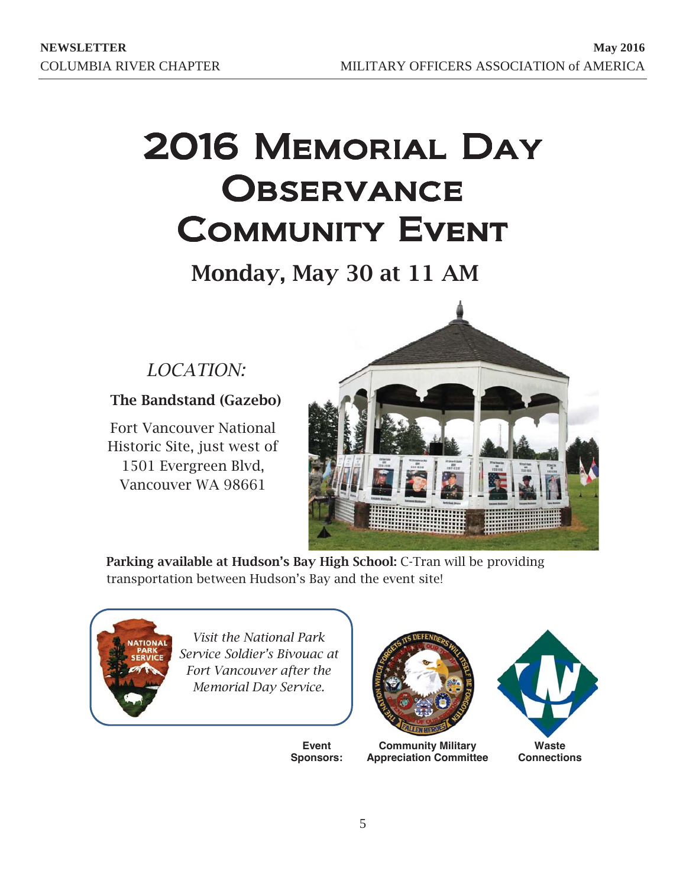# 2016 MEMORIAL DAY OBSERVANCE **COMMUNITY EVENT**

Monday, May 30 at 11 AM

## LOCATION:

**The Bandstand (Gazebo)** 

Fort Vancouver National Historic Site, just west of 1501 Evergreen Blvd, Vancouver WA 98661



**Parking available at Hudson's Bay High School: C-Tran will be providing** transportation between Hudson's Bay and the event site!



**Visit the National Park Service Soldier's Bivouac at** *Fort Vancouver after the* **Memorial Day Service.** 

**Event Sponsors:** 



**Community Military Appreciation Committee** 

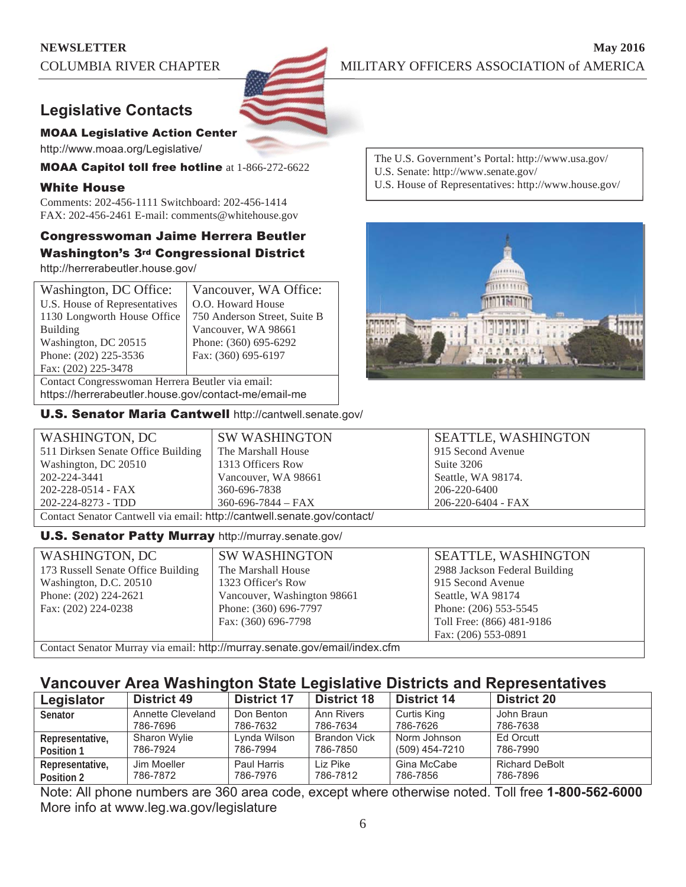

## **Legislative Contacts**

## **MOAA Legislative Action Center**

http://www.moaa.org/Legislative/

**MOAA Capitol toll free hotline** at 1-866-272-6622

## White House

Comments: 202-456-1111 Switchboard: 202-456-1414 FAX: 202-456-2461 E-mail: comments@whitehouse.gov

## Congresswoman Jaime Herrera Beutler Washington's 3rd Congressional District

http://herrerabeutler.house.gov/

| Washington, DC Office:                                                                                                                                                                                                         | Vancouver, WA Office:        |  |  |
|--------------------------------------------------------------------------------------------------------------------------------------------------------------------------------------------------------------------------------|------------------------------|--|--|
| U.S. House of Representatives                                                                                                                                                                                                  | O.O. Howard House            |  |  |
| 1130 Longworth House Office                                                                                                                                                                                                    | 750 Anderson Street, Suite B |  |  |
| <b>Building</b>                                                                                                                                                                                                                | Vancouver, WA 98661          |  |  |
| Washington, DC 20515                                                                                                                                                                                                           | Phone: (360) 695-6292        |  |  |
| Phone: (202) 225-3536                                                                                                                                                                                                          | Fax: (360) 695-6197          |  |  |
| Fax: (202) 225-3478                                                                                                                                                                                                            |                              |  |  |
| Contact Congresswoman Herrera Beutler via email:                                                                                                                                                                               |                              |  |  |
| bition of the company learned and constant and containing the contact the contact the contact of the contact of the contact of the contact of the contact of the contact of the contact of the contact of the contact of the c |                              |  |  |

https://herrerabeutler.house.gov/contact-me/email-me

U.S. Senator Maria Cantwell http://cantwell.senate.gov/

The U.S. Government's Portal: http://www.usa.gov/ U.S. Senate: http://www.senate.gov/

U.S. House of Representatives: http://www.house.gov/



| WASHINGTON, DC                                                          | <b>SW WASHINGTON</b>     | <b>SEATTLE, WASHINGTON</b> |  |
|-------------------------------------------------------------------------|--------------------------|----------------------------|--|
| 511 Dirksen Senate Office Building                                      | The Marshall House       | 915 Second Avenue          |  |
| Washington, DC 20510                                                    | 1313 Officers Row        | Suite 3206                 |  |
| 202-224-3441                                                            | Vancouver, WA 98661      | Seattle, WA 98174.         |  |
| 202-228-0514 - FAX                                                      | 360-696-7838             | 206-220-6400               |  |
| 202-224-8273 - TDD                                                      | $360 - 696 - 7844 - FAX$ | 206-220-6404 - FAX         |  |
| Contact Senator Cantwell via email: http://cantwell.senate.gov/contact/ |                          |                            |  |

## **U.S. Senator Patty Murray** http://murray.senate.gov/

| WASHINGTON, DC                                                             | <b>SW WASHINGTON</b>        | <b>SEATTLE, WASHINGTON</b>    |  |
|----------------------------------------------------------------------------|-----------------------------|-------------------------------|--|
| 173 Russell Senate Office Building                                         | The Marshall House          | 2988 Jackson Federal Building |  |
| Washington, D.C. 20510                                                     | 1323 Officer's Row          | 915 Second Avenue             |  |
| Phone: (202) 224-2621                                                      | Vancouver, Washington 98661 | Seattle, WA 98174             |  |
| Fax: (202) 224-0238                                                        | Phone: (360) 696-7797       | Phone: (206) 553-5545         |  |
|                                                                            | Fax: (360) 696-7798         | Toll Free: (866) 481-9186     |  |
|                                                                            |                             | Fax: (206) 553-0891           |  |
| Contact Senator Murray via email: http://murray.senate.gov/email/index.cfm |                             |                               |  |

**Vancouver Area Washington State Legislative Districts and Representatives** 

| <u>Tanood for Area Traginington Olalo Logiolative Diginelo and Noprogentative</u> |                    |                    |                     |                    |                       |
|-----------------------------------------------------------------------------------|--------------------|--------------------|---------------------|--------------------|-----------------------|
| Legislator                                                                        | <b>District 49</b> | <b>District 17</b> | <b>District 18</b>  | <b>District 14</b> | <b>District 20</b>    |
| <b>Senator</b>                                                                    | Annette Cleveland  | Don Benton         | <b>Ann Rivers</b>   | Curtis King        | John Braun            |
|                                                                                   | 786-7696           | 786-7632           | 786-7634            | 786-7626           | 786-7638              |
| Representative,                                                                   | Sharon Wylie       | Lynda Wilson       | <b>Brandon Vick</b> | Norm Johnson       | Ed Orcutt             |
| Position 1                                                                        | 786-7924           | 786-7994           | 786-7850            | (509) 454-7210     | 786-7990              |
| Representative,                                                                   | Jim Moeller        | Paul Harris        | Liz Pike            | Gina McCabe        | <b>Richard DeBolt</b> |
| Position 2                                                                        | 786-7872           | 786-7976           | 786-7812            | 786-7856           | 786-7896              |

Note: All phone numbers are 360 area code, except where otherwise noted. Toll free 1-800-562-6000 More info at www.leg.wa.gov/legislature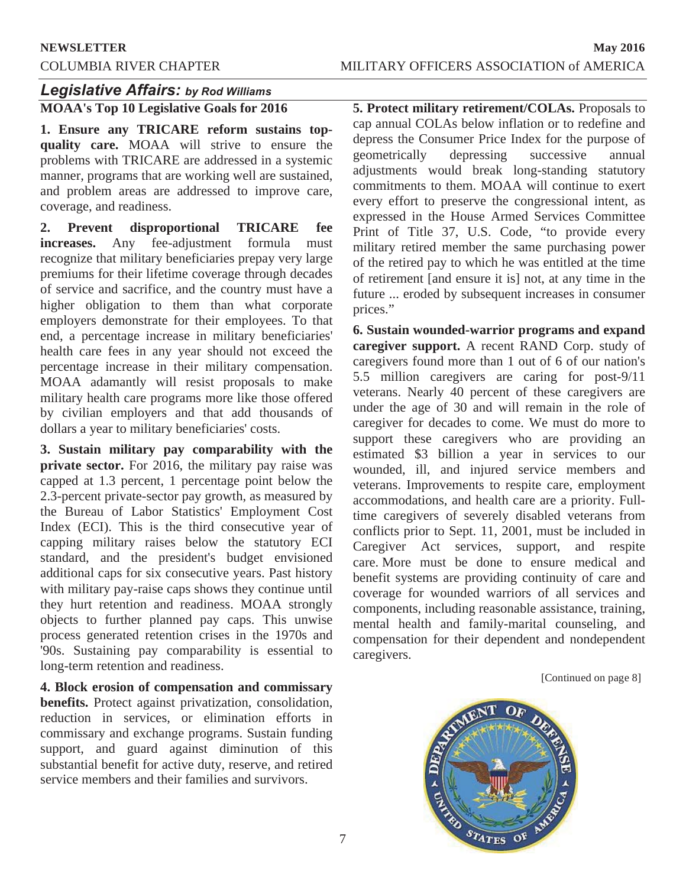## **Legislative Affairs: by Rod Williams**

**MOAA's Top 10 Legislative Goals for 2016** 

**1. Ensure any TRICARE reform sustains topquality care.** MOAA will strive to ensure the problems with TRICARE are addressed in a systemic manner, programs that are working well are sustained, and problem areas are addressed to improve care, coverage, and readiness.

**2. Prevent disproportional TRICARE fee increases.** Any fee-adjustment formula must recognize that military beneficiaries prepay very large premiums for their lifetime coverage through decades of service and sacrifice, and the country must have a higher obligation to them than what corporate employers demonstrate for their employees. To that end, a percentage increase in military beneficiaries' health care fees in any year should not exceed the percentage increase in their military compensation. MOAA adamantly will resist proposals to make military health care programs more like those offered by civilian employers and that add thousands of dollars a year to military beneficiaries' costs.

**3. Sustain military pay comparability with the private sector.** For 2016, the military pay raise was capped at 1.3 percent, 1 percentage point below the 2.3-percent private-sector pay growth, as measured by the Bureau of Labor Statistics' Employment Cost Index (ECI). This is the third consecutive year of capping military raises below the statutory ECI standard, and the president's budget envisioned additional caps for six consecutive years. Past history with military pay-raise caps shows they continue until they hurt retention and readiness. MOAA strongly objects to further planned pay caps. This unwise process generated retention crises in the 1970s and '90s. Sustaining pay comparability is essential to long-term retention and readiness.

**4. Block erosion of compensation and commissary benefits.** Protect against privatization, consolidation, reduction in services, or elimination efforts in commissary and exchange programs. Sustain funding support, and guard against diminution of this substantial benefit for active duty, reserve, and retired service members and their families and survivors.

**5. Protect military retirement/COLAs.** Proposals to cap annual COLAs below inflation or to redefine and depress the Consumer Price Index for the purpose of geometrically depressing successive annual adjustments would break long-standing statutory commitments to them. MOAA will continue to exert every effort to preserve the congressional intent, as expressed in the House Armed Services Committee Print of Title 37, U.S. Code, "to provide every military retired member the same purchasing power of the retired pay to which he was entitled at the time of retirement [and ensure it is] not, at any time in the future ... eroded by subsequent increases in consumer prices."

**6. Sustain wounded-warrior programs and expand caregiver support.** A recent RAND Corp. study of caregivers found more than 1 out of 6 of our nation's 5.5 million caregivers are caring for post-9/11 veterans. Nearly 40 percent of these caregivers are under the age of 30 and will remain in the role of caregiver for decades to come. We must do more to support these caregivers who are providing an estimated \$3 billion a year in services to our wounded, ill, and injured service members and veterans. Improvements to respite care, employment accommodations, and health care are a priority. Fulltime caregivers of severely disabled veterans from conflicts prior to Sept. 11, 2001, must be included in Caregiver Act services, support, and respite care. More must be done to ensure medical and benefit systems are providing continuity of care and coverage for wounded warriors of all services and components, including reasonable assistance, training, mental health and family-marital counseling, and compensation for their dependent and nondependent caregivers.

[Continued on page 8]

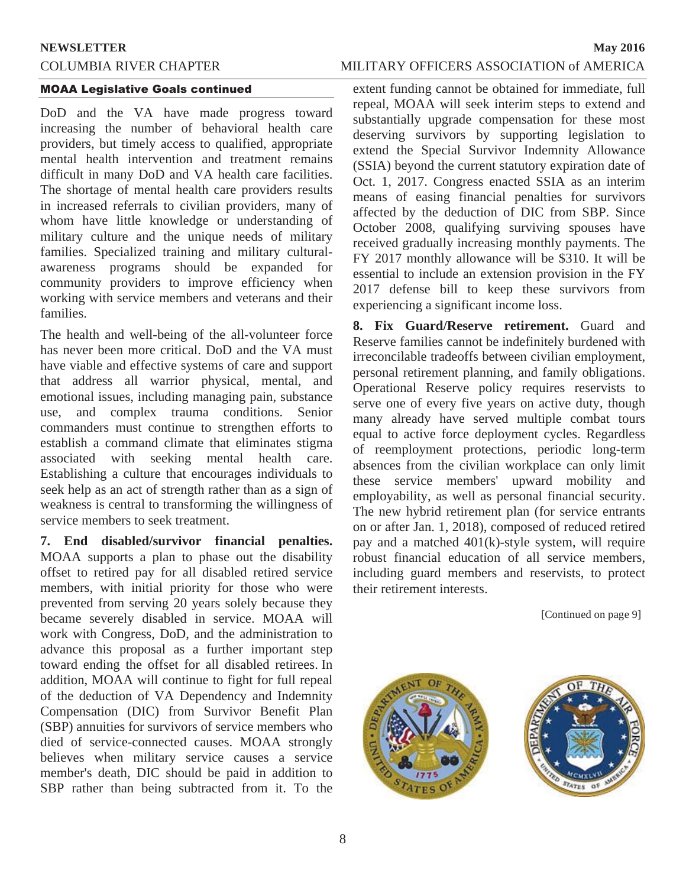## COLUMBIA RIVER CHAPTER MILITARY OFFICERS ASSOCIATION of AMERICA

### **MOAA Legislative Goals continued**

DoD and the VA have made progress toward increasing the number of behavioral health care providers, but timely access to qualified, appropriate mental health intervention and treatment remains difficult in many DoD and VA health care facilities. The shortage of mental health care providers results in increased referrals to civilian providers, many of whom have little knowledge or understanding of military culture and the unique needs of military families. Specialized training and military culturalawareness programs should be expanded for community providers to improve efficiency when working with service members and veterans and their families.

The health and well-being of the all-volunteer force has never been more critical. DoD and the VA must have viable and effective systems of care and support that address all warrior physical, mental, and emotional issues, including managing pain, substance use, and complex trauma conditions. Senior commanders must continue to strengthen efforts to establish a command climate that eliminates stigma associated with seeking mental health care. Establishing a culture that encourages individuals to seek help as an act of strength rather than as a sign of weakness is central to transforming the willingness of service members to seek treatment.

**7. End disabled/survivor financial penalties.**  MOAA supports a plan to phase out the disability offset to retired pay for all disabled retired service members, with initial priority for those who were prevented from serving 20 years solely because they became severely disabled in service. MOAA will work with Congress, DoD, and the administration to advance this proposal as a further important step toward ending the offset for all disabled retirees. In addition, MOAA will continue to fight for full repeal of the deduction of VA Dependency and Indemnity Compensation (DIC) from Survivor Benefit Plan (SBP) annuities for survivors of service members who died of service-connected causes. MOAA strongly believes when military service causes a service member's death, DIC should be paid in addition to SBP rather than being subtracted from it. To the

extent funding cannot be obtained for immediate, full repeal, MOAA will seek interim steps to extend and substantially upgrade compensation for these most deserving survivors by supporting legislation to extend the Special Survivor Indemnity Allowance (SSIA) beyond the current statutory expiration date of Oct. 1, 2017. Congress enacted SSIA as an interim means of easing financial penalties for survivors affected by the deduction of DIC from SBP. Since October 2008, qualifying surviving spouses have received gradually increasing monthly payments. The FY 2017 monthly allowance will be \$310. It will be essential to include an extension provision in the FY 2017 defense bill to keep these survivors from experiencing a significant income loss.

**8. Fix Guard/Reserve retirement.** Guard and Reserve families cannot be indefinitely burdened with irreconcilable tradeoffs between civilian employment, personal retirement planning, and family obligations. Operational Reserve policy requires reservists to serve one of every five years on active duty, though many already have served multiple combat tours equal to active force deployment cycles. Regardless of reemployment protections, periodic long-term absences from the civilian workplace can only limit these service members' upward mobility and employability, as well as personal financial security. The new hybrid retirement plan (for service entrants on or after Jan. 1, 2018), composed of reduced retired pay and a matched 401(k)-style system, will require robust financial education of all service members, including guard members and reservists, to protect their retirement interests.

[Continued on page 9]



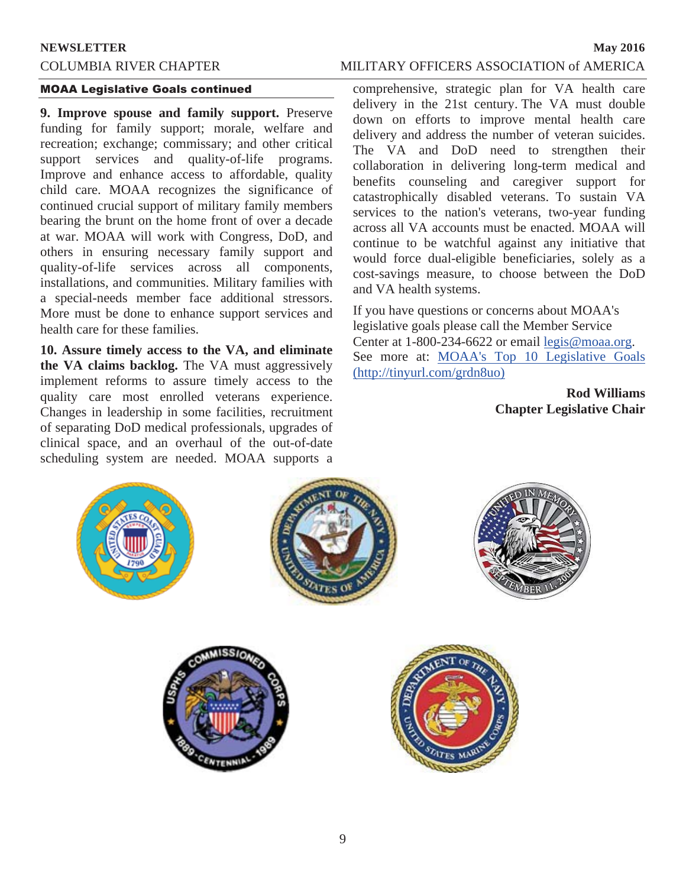## **MOAA Legislative Goals continued**

**9. Improve spouse and family support.** Preserve funding for family support; morale, welfare and recreation; exchange; commissary; and other critical support services and quality-of-life programs. Improve and enhance access to affordable, quality child care. MOAA recognizes the significance of continued crucial support of military family members bearing the brunt on the home front of over a decade at war. MOAA will work with Congress, DoD, and others in ensuring necessary family support and quality-of-life services across all components, installations, and communities. Military families with a special-needs member face additional stressors. More must be done to enhance support services and health care for these families.

**10. Assure timely access to the VA, and eliminate the VA claims backlog.** The VA must aggressively implement reforms to assure timely access to the quality care most enrolled veterans experience. Changes in leadership in some facilities, recruitment of separating DoD medical professionals, upgrades of clinical space, and an overhaul of the out-of-date scheduling system are needed. MOAA supports a

comprehensive, strategic plan for VA health care delivery in the 21st century. The VA must double down on efforts to improve mental health care delivery and address the number of veteran suicides. The VA and DoD need to strengthen their collaboration in delivering long-term medical and benefits counseling and caregiver support for catastrophically disabled veterans. To sustain VA services to the nation's veterans, two-year funding across all VA accounts must be enacted. MOAA will continue to be watchful against any initiative that would force dual-eligible beneficiaries, solely as a cost-savings measure, to choose between the DoD and VA health systems.

If you have questions or concerns about MOAA's legislative goals please call the Member Service Center at 1-800-234-6622 or email legis@moaa.org. See more at: MOAA's Top 10 Legislative Goals (http://tinyurl.com/grdn8uo)

> **Rod Williams Chapter Legislative Chair**

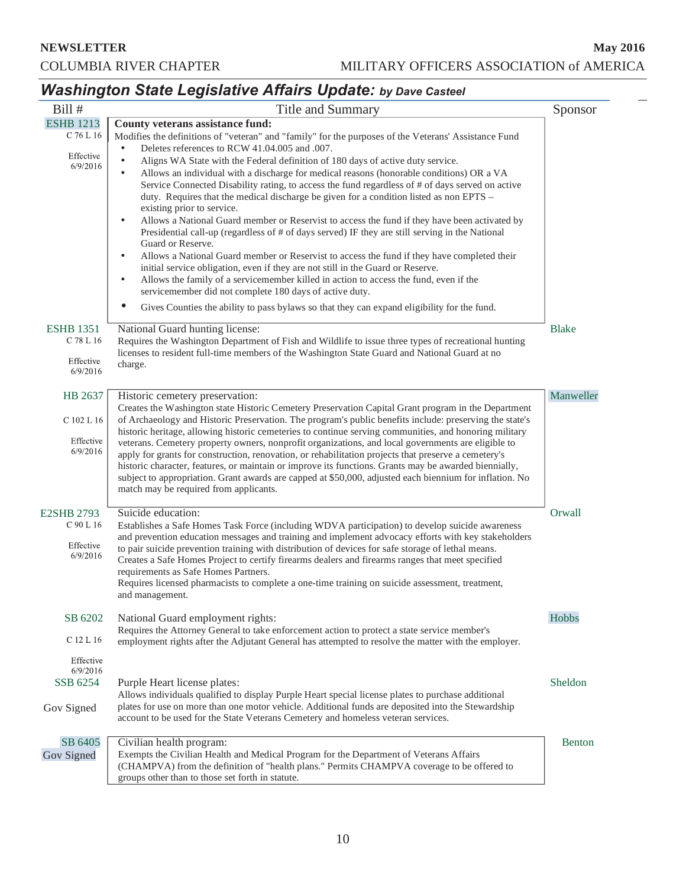## **Washington State Legislative Affairs Update: by Dave Casteel**

| Bill #                                                  | Title and Summary                                                                                                                                                                                                                                                                                                                                                                                                                                                                                                                                                                                                                                                                                                                                                                                                                                                                                                                                                                                                                                                                                                                                                                                                                                                                                                                                              | Sponsor       |
|---------------------------------------------------------|----------------------------------------------------------------------------------------------------------------------------------------------------------------------------------------------------------------------------------------------------------------------------------------------------------------------------------------------------------------------------------------------------------------------------------------------------------------------------------------------------------------------------------------------------------------------------------------------------------------------------------------------------------------------------------------------------------------------------------------------------------------------------------------------------------------------------------------------------------------------------------------------------------------------------------------------------------------------------------------------------------------------------------------------------------------------------------------------------------------------------------------------------------------------------------------------------------------------------------------------------------------------------------------------------------------------------------------------------------------|---------------|
| <b>ESHB 1213</b><br>C 76 L 16<br>Effective<br>6/9/2016  | County veterans assistance fund:<br>Modifies the definitions of "veteran" and "family" for the purposes of the Veterans' Assistance Fund<br>Deletes references to RCW 41.04.005 and .007.<br>$\bullet$<br>$\bullet$<br>Aligns WA State with the Federal definition of 180 days of active duty service.<br>Allows an individual with a discharge for medical reasons (honorable conditions) OR a VA<br>$\bullet$<br>Service Connected Disability rating, to access the fund regardless of # of days served on active<br>duty. Requires that the medical discharge be given for a condition listed as non EPTS -<br>existing prior to service.<br>Allows a National Guard member or Reservist to access the fund if they have been activated by<br>$\bullet$<br>Presidential call-up (regardless of # of days served) IF they are still serving in the National<br>Guard or Reserve.<br>Allows a National Guard member or Reservist to access the fund if they have completed their<br>$\bullet$<br>initial service obligation, even if they are not still in the Guard or Reserve.<br>Allows the family of a servicemember killed in action to access the fund, even if the<br>$\bullet$<br>servicemember did not complete 180 days of active duty.<br>$\bullet$<br>Gives Counties the ability to pass bylaws so that they can expand eligibility for the fund. |               |
| <b>ESHB</b> 1351<br>C 78 L 16<br>Effective<br>6/9/2016  | National Guard hunting license:<br>Requires the Washington Department of Fish and Wildlife to issue three types of recreational hunting<br>licenses to resident full-time members of the Washington State Guard and National Guard at no<br>charge.                                                                                                                                                                                                                                                                                                                                                                                                                                                                                                                                                                                                                                                                                                                                                                                                                                                                                                                                                                                                                                                                                                            | <b>Blake</b>  |
| HB 2637<br>C 102 L 16<br>Effective<br>6/9/2016          | Historic cemetery preservation:<br>Creates the Washington state Historic Cemetery Preservation Capital Grant program in the Department<br>of Archaeology and Historic Preservation. The program's public benefits include: preserving the state's<br>historic heritage, allowing historic cemeteries to continue serving communities, and honoring military<br>veterans. Cemetery property owners, nonprofit organizations, and local governments are eligible to<br>apply for grants for construction, renovation, or rehabilitation projects that preserve a cemetery's<br>historic character, features, or maintain or improve its functions. Grants may be awarded biennially,<br>subject to appropriation. Grant awards are capped at \$50,000, adjusted each biennium for inflation. No<br>match may be required from applicants.                                                                                                                                                                                                                                                                                                                                                                                                                                                                                                                        | Manweller     |
| <b>E2SHB 2793</b><br>C 90 L 16<br>Effective<br>6/9/2016 | Suicide education:<br>Establishes a Safe Homes Task Force (including WDVA participation) to develop suicide awareness<br>and prevention education messages and training and implement advocacy efforts with key stakeholders<br>to pair suicide prevention training with distribution of devices for safe storage of lethal means.<br>Creates a Safe Homes Project to certify firearms dealers and firearms ranges that meet specified<br>requirements as Safe Homes Partners.<br>Requires licensed pharmacists to complete a one-time training on suicide assessment, treatment,<br>and management.                                                                                                                                                                                                                                                                                                                                                                                                                                                                                                                                                                                                                                                                                                                                                           | Orwall        |
| SB 6202<br>C 12 L 16<br>Effective                       | National Guard employment rights:<br>Requires the Attorney General to take enforcement action to protect a state service member's<br>employment rights after the Adjutant General has attempted to resolve the matter with the employer.                                                                                                                                                                                                                                                                                                                                                                                                                                                                                                                                                                                                                                                                                                                                                                                                                                                                                                                                                                                                                                                                                                                       | Hobbs         |
| 6/9/2016<br>SSB 6254<br>Gov Signed                      | Purple Heart license plates:<br>Allows individuals qualified to display Purple Heart special license plates to purchase additional<br>plates for use on more than one motor vehicle. Additional funds are deposited into the Stewardship<br>account to be used for the State Veterans Cemetery and homeless veteran services.                                                                                                                                                                                                                                                                                                                                                                                                                                                                                                                                                                                                                                                                                                                                                                                                                                                                                                                                                                                                                                  | Sheldon       |
| SB 6405<br>Gov Signed                                   | Civilian health program:<br>Exempts the Civilian Health and Medical Program for the Department of Veterans Affairs<br>(CHAMPVA) from the definition of "health plans." Permits CHAMPVA coverage to be offered to<br>groups other than to those set forth in statute.                                                                                                                                                                                                                                                                                                                                                                                                                                                                                                                                                                                                                                                                                                                                                                                                                                                                                                                                                                                                                                                                                           | <b>Benton</b> |